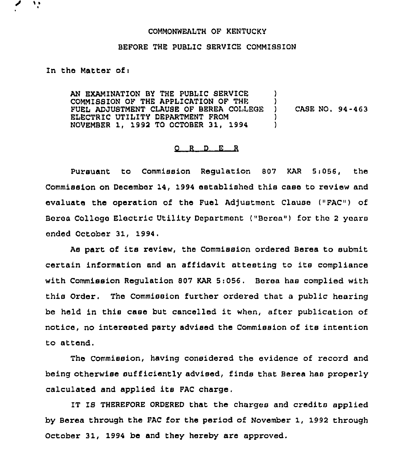## COMMONWEALTH OF KENTUCKY

## BEFORE THE PUBLIC SERVICE COMMISSION

## In the Matter of <sup>i</sup>

٠,

AN EXAMINATION BY THE PUBLIC SERVICE COMMISSION OF THE APPLICATION OF THE  $\overrightarrow{y}$   $\overrightarrow{y}$   $\overrightarrow{y}$   $\overrightarrow{y}$ FUEL ADJUSTMENT CLAUSE OF BEREA COLLEGE ) ELECTRIC UTILITY DEPARTMENT FROM (1994) NOVEMBER 1, 1992 TQ OCTOBER 31, 1994 ) CASE NO. 94-463

## Q R D E R

Pursuant to Commission Regulation 807 KAR 5:056, the Commission on December 14, 1994 established this case to review and evaluate the operation of the Fuel Adjustmont Clause ("FAC") of Boroa College Electric Utility Department ("Bcren") for tho <sup>2</sup> years ended October 31, 1994.

As part of its review, the Commission ordered Berea to submit certain information and an affidavit attesting to its compliance with Commission Regulation 807 KAR 5:056, Bares has complied with this Order. The Commission further ordered that a public hearing be held in this casa but cancelled it when, after publication of notice, no interested party advised the Commission of its intention to attend.

The Commission, having considered the evidence of record and being otherwise sufficiently advised, finds that Berea has properly calculated and applied its FAC charge.

IT IS THEREFORE ORDERED that the charges and credits applied by Berea through the FAC for the period of November 1, 1992 through October 31, 1994 be and they hereby are approved,